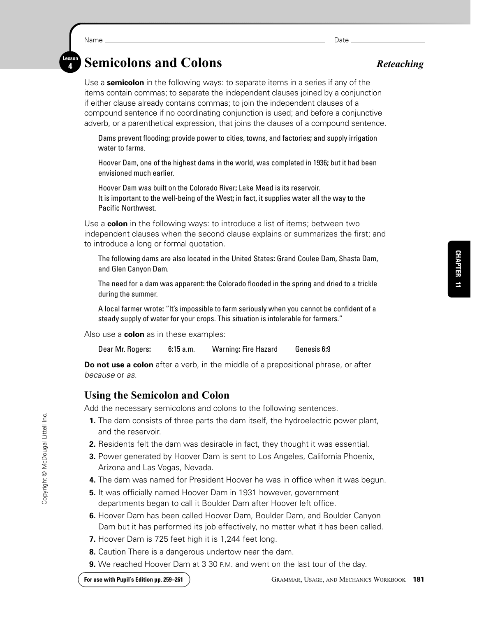## **Lesson <sup>4</sup> Semicolons and Colons** *Reteaching*

Use a **semicolon** in the following ways: to separate items in a series if any of the items contain commas; to separate the independent clauses joined by a conjunction if either clause already contains commas; to join the independent clauses of a compound sentence if no coordinating conjunction is used; and before a conjunctive adverb, or a parenthetical expression, that joins the clauses of a compound sentence.

Dams prevent flooding**;** provide power to cities, towns, and factories**;** and supply irrigation water to farms.

Hoover Dam, one of the highest dams in the world, was completed in 1936**;** but it had been envisioned much earlier.

Hoover Dam was built on the Colorado River**;** Lake Mead is its reservoir. It is important to the well-being of the West**;** in fact, it supplies water all the way to the Pacific Northwest.

Use a **colon** in the following ways: to introduce a list of items; between two independent clauses when the second clause explains or summarizes the first; and to introduce a long or formal quotation.

The following dams are also located in the United States**:** Grand Coulee Dam, Shasta Dam, and Glen Canyon Dam.

The need for a dam was apparent**:** the Colorado flooded in the spring and dried to a trickle during the summer.

A local farmer wrote**:** "It's impossible to farm seriously when you cannot be confident of a steady supply of water for your crops. This situation is intolerable for farmers."

Also use a **colon** as in these examples:

Dear Mr. Rogers**:** 6**:**15 a.m. Warning**:** Fire Hazard Genesis 6**:**9

**Do not use a colon** after a verb, in the middle of a prepositional phrase, or after *because* or *as*.

## **Using the Semicolon and Colon**

Add the necessary semicolons and colons to the following sentences.

- **1.** The dam consists of three parts the dam itself, the hydroelectric power plant, and the reservoir.
- **2.** Residents felt the dam was desirable in fact, they thought it was essential.
- **3.** Power generated by Hoover Dam is sent to Los Angeles, California Phoenix, Arizona and Las Vegas, Nevada.
- **4.** The dam was named for President Hoover he was in office when it was begun.
- **5.** It was officially named Hoover Dam in 1931 however, government departments began to call it Boulder Dam after Hoover left office.
- **6.** Hoover Dam has been called Hoover Dam, Boulder Dam, and Boulder Canyon Dam but it has performed its job effectively, no matter what it has been called.
- **7.** Hoover Dam is 725 feet high it is 1,244 feet long.
- **8.** Caution There is a dangerous undertow near the dam.
- **9.** We reached Hoover Dam at 3 30 P.M. and went on the last tour of the day.

Copyright © McDougal Littell Inc.

Copyright © McDougal Littell Inc.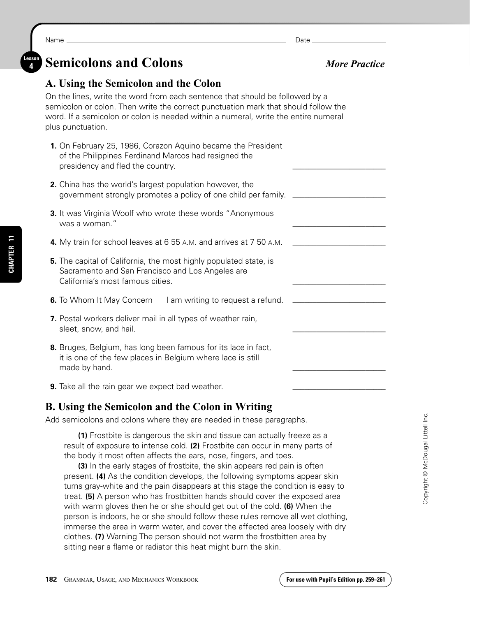## Name Date

## **Lesson <sup>4</sup> Semicolons and Colons** *More Practice*

# **A. Using the Semicolon and the Colon**

On the lines, write the word from each sentence that should be followed by a semicolon or colon. Then write the correct punctuation mark that should follow the word. If a semicolon or colon is needed within a numeral, write the entire numeral plus punctuation.

- **1.** On February 25, 1986, Corazon Aquino became the President of the Philippines Ferdinand Marcos had resigned the presidency and fled the country.
- **2.** China has the world's largest population however, the government strongly promotes a policy of one child per family.
- **3.** It was Virginia Woolf who wrote these words "Anonymous was a woman."
- **4.** My train for school leaves at 6 55 A.M. and arrives at 7 50 A.M.
- **5.** The capital of California, the most highly populated state, is Sacramento and San Francisco and Los Angeles are California's most famous cities.
- **6.** To Whom It May Concern I am writing to request a refund.
- **7.** Postal workers deliver mail in all types of weather rain, sleet, snow, and hail.
- **8.** Bruges, Belgium, has long been famous for its lace in fact, it is one of the few places in Belgium where lace is still made by hand.
- **9.** Take all the rain gear we expect bad weather.

# **B. Using the Semicolon and the Colon in Writing**

Add semicolons and colons where they are needed in these paragraphs.

**(1)** Frostbite is dangerous the skin and tissue can actually freeze as a result of exposure to intense cold. **(2)** Frostbite can occur in many parts of the body it most often affects the ears, nose, fingers, and toes.

**(3)** In the early stages of frostbite, the skin appears red pain is often present. **(4)** As the condition develops, the following symptoms appear skin turns gray-white and the pain disappears at this stage the condition is easy to treat. **(5)** A person who has frostbitten hands should cover the exposed area with warm gloves then he or she should get out of the cold. **(6)** When the person is indoors, he or she should follow these rules remove all wet clothing, immerse the area in warm water, and cover the affected area loosely with dry clothes. **(7)** Warning The person should not warm the frostbitten area by sitting near a flame or radiator this heat might burn the skin.